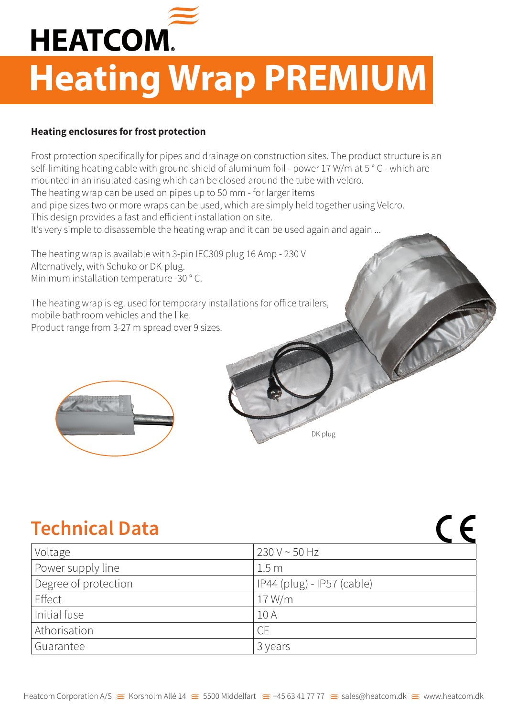

# **Heating Wrap PREMIUM**

#### **Heating enclosures for frost protection**

Frost protection specifically for pipes and drainage on construction sites. The product structure is an self-limiting heating cable with ground shield of aluminum foil - power 17 W/m at 5 ° C - which are mounted in an insulated casing which can be closed around the tube with velcro. The heating wrap can be used on pipes up to 50 mm - for larger items and pipe sizes two or more wraps can be used, which are simply held together using Velcro. This design provides a fast and efficient installation on site. It's very simple to disassemble the heating wrap and it can be used again and again ...

The heating wrap is available with 3-pin IEC309 plug 16 Amp - 230 V Alternatively, with Schuko or DK-plug. Minimum installation temperature -30 ° C.

The heating wrap is eg. used for temporary installations for office trailers, mobile bathroom vehicles and the like. Product range from 3-27 m spread over 9 sizes.



# **Technical Data**

| Voltage              | $230 V \sim 50 Hz$         |
|----------------------|----------------------------|
| Power supply line    | 1.5 <sub>m</sub>           |
| Degree of protection | IP44 (plug) - IP57 (cable) |
| Effect               | 17 W/m                     |
| Initial fuse         | 10A                        |
| Athorisation         | <b>CE</b>                  |
| Guarantee            | 3 years                    |

DK plug

 $\epsilon$